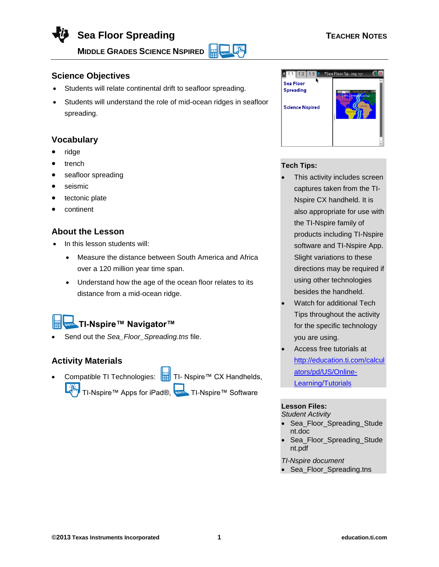# **Sea Floor Spreading TEACHER NOTES**

**MIDDLE GRADES SCIENCE NSPIRED** 

# **Science Objectives**

- Students will relate continental drift to seafloor spreading.
- Students will understand the role of mid-ocean ridges in seafloor spreading.

### **Vocabulary**

- ridge
- trench
- seafloor spreading
- seismic
- tectonic plate
- continent

# **About the Lesson**

- In this lesson students will:
	- Measure the distance between South America and Africa over a 120 million year time span.
	- Understand how the age of the ocean floor relates to its distance from a mid-ocean ridge.

# **TI-Nspire™ Navigator™**

Send out the *Sea\_Floor\_Spreading.tns* file.

# **Activity Materials**

Compatible TI Technologies: Fill TI- Nspire™ CX Handhelds, TI-Nspire™ Apps for iPad®, TI-Nspire™ Software

 $\frac{1}{1.1}$  1.2 a Floor Sp…ing  $\Leftarrow$ Sea Floor Spreading **Science Nspired** 

#### **Tech Tips:**

Lilin

- This activity includes screen captures taken from the TI-Nspire CX handheld. It is also appropriate for use with the TI-Nspire family of products including TI-Nspire software and TI-Nspire App. Slight variations to these directions may be required if using other technologies besides the handheld.
- Watch for additional Tech Tips throughout the activity for the specific technology you are using.
- Access free tutorials at [http://education.ti.com/calcul](http://education.ti.com/calculators/pd/US/Online-Learning/Tutorials) [ators/pd/US/Online-](http://education.ti.com/calculators/pd/US/Online-Learning/Tutorials)[Learning/Tutorials](http://education.ti.com/calculators/pd/US/Online-Learning/Tutorials)

### **Lesson Files:**

*Student Activity*

- Sea\_Floor\_Spreading\_Stude nt.doc
- Sea\_Floor\_Spreading\_Stude nt.pdf

*TI-Nspire document* 

• Sea Floor Spreading.tns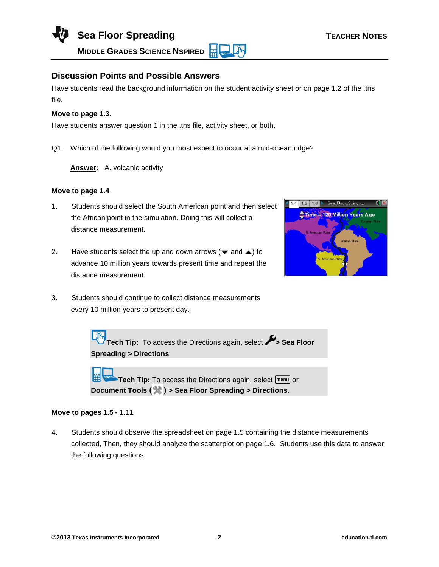

**Discussion Points and Possible Answers**

Have students read the background information on the student activity sheet or on page 1.2 of the .tns file.

#### **Move to page 1.3.**

Have students answer question 1 in the .tns file, activity sheet, or both.

Q1. Which of the following would you most expect to occur at a mid-ocean ridge?

**Answer:** A. volcanic activity

#### **Move to page 1.4**

- 1. Students should select the South American point and then select the African point in the simulation. Doing this will collect a distance measurement.
- 2. Have students select the up and down arrows ( $\blacktriangledown$  and  $\blacktriangle$ ) to advance 10 million years towards present time and repeat the distance measurement.
- 3. Students should continue to collect distance measurements



**Tech Tip:** To access the Directions again, select **Sea Floor** 

**Spreading > Directions**

every 10 million years to present day.

**Tech Tip:** To access the Directions again, select **menul** or **Document Tools ( ) > Sea Floor Spreading > Directions.**

#### **Move to pages 1.5 - 1.11**

4. Students should observe the spreadsheet on page 1.5 containing the distance measurements collected, Then, they should analyze the scatterplot on page 1.6. Students use this data to answer the following questions.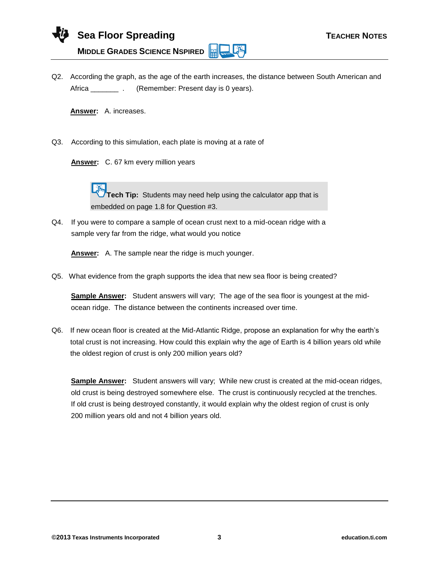Q2. According the graph, as the age of the earth increases, the distance between South American and Africa **Exercise 2.** (Remember: Present day is 0 years).

**Answer:** A. increases.

Q3. According to this simulation, each plate is moving at a rate of

**Answer:** C. 67 km every million years

**Tech Tip:** Students may need help using the calculator app that is embedded on page 1.8 for Question #3.

Q4. If you were to compare a sample of ocean crust next to a mid-ocean ridge with a sample very far from the ridge, what would you notice

**Answer:** A. The sample near the ridge is much younger.

Q5. What evidence from the graph supports the idea that new sea floor is being created?

**Sample Answer:** Student answers will vary; The age of the sea floor is youngest at the midocean ridge. The distance between the continents increased over time.

Q6. If new ocean floor is created at the Mid-Atlantic Ridge, propose an explanation for why the earth's total crust is not increasing. How could this explain why the age of Earth is 4 billion years old while the oldest region of crust is only 200 million years old?

**Sample Answer:** Student answers will vary; While new crust is created at the mid-ocean ridges, old crust is being destroyed somewhere else. The crust is continuously recycled at the trenches. If old crust is being destroyed constantly, it would explain why the oldest region of crust is only 200 million years old and not 4 billion years old.